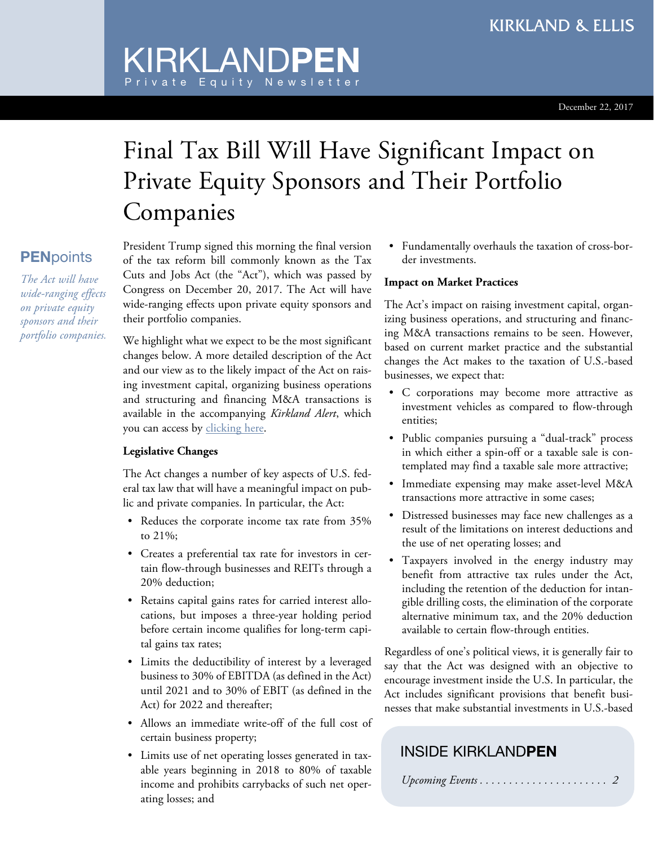# Final Tax Bill Will Have Significant Impact on Private Equity Sponsors and Their Portfolio Companies

President Trump signed this morning the final version of the tax reform bill commonly known as the Tax Cuts and Jobs Act (the "Act"), which was passed by Congress on December 20, 2017. The Act will have wide-ranging effects upon private equity sponsors and their portfolio companies.

KIRKLAND**PEN**

Private Equity Newsletter

We highlight what we expect to be the most significant changes below. A more detailed description of the Act and our view as to the likely impact of the Act on raising investment capital, organizing business operations and structuring and financing M&A transactions is available in the accompanying *Kirkland Alert*, which you can access by [clicking](https://p.widencdn.net/zy3zt6/Alert_20171222) here.

#### **Legislative Changes**

The Act changes a number of key aspects of U.S. federal tax law that will have a meaningful impact on public and private companies. In particular, the Act:

- Reduces the corporate income tax rate from 35% to 21%;
- Creates a preferential tax rate for investors in certain flow-through businesses and REITs through a 20% deduction;
- Retains capital gains rates for carried interest allocations, but imposes a three-year holding period before certain income qualifies for long-term capital gains tax rates;
- Limits the deductibility of interest by a leveraged business to 30% of EBITDA (as defined in the Act) until 2021 and to 30% of EBIT (as defined in the Act) for 2022 and thereafter;
- Allows an immediate write-off of the full cost of certain business property;
- Limits use of net operating losses generated in taxable years beginning in 2018 to 80% of taxable income and prohibits carrybacks of such net operating losses; and

• Fundamentally overhauls the taxation of cross-border investments.

#### **Impact on Market Practices**

The Act's impact on raising investment capital, organizing business operations, and structuring and financing M&A transactions remains to be seen. However, based on current market practice and the substantial changes the Act makes to the taxation of U.S.-based businesses, we expect that:

- C corporations may become more attractive as investment vehicles as compared to flow-through entities;
- Public companies pursuing a "dual-track" process in which either a spin-off or a taxable sale is contemplated may find a taxable sale more attractive;
- Immediate expensing may make asset-level M&A transactions more attractive in some cases;
- Distressed businesses may face new challenges as a result of the limitations on interest deductions and the use of net operating losses; and
- Taxpayers involved in the energy industry may benefit from attractive tax rules under the Act, including the retention of the deduction for intangible drilling costs, the elimination of the corporate alternative minimum tax, and the 20% deduction available to certain flow-through entities.

Regardless of one's political views, it is generally fair to say that the Act was designed with an objective to encourage investment inside the U.S. In particular, the Act includes significant provisions that benefit businesses that make substantial investments in U.S.-based

### INSIDE KIRKLAND**PEN**

|--|--|--|--|--|--|--|--|--|--|--|--|--|--|--|--|--|--|--|--|--|--|--|

## **PEN**points *The Act will have*

*wide-ranging effects on private equity sponsors and their portfolio companies.*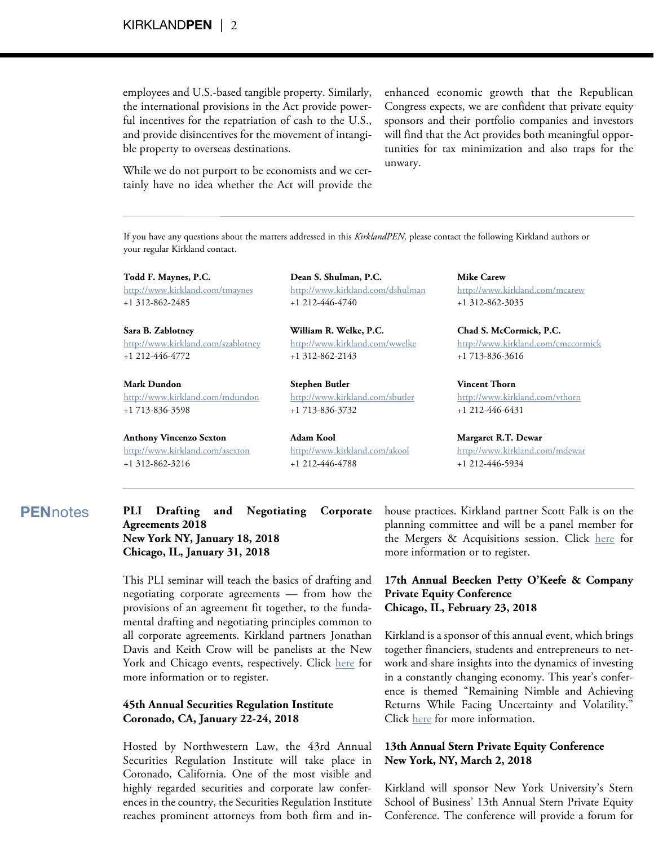employees and U.S.-based tangible property. Similarly, the international provisions in the Act provide powerful incentives for the repatriation of cash to the U.S., and provide disincentives for the movement of intangible property to overseas destinations.

While we do not purport to be economists and we certainly have no idea whether the Act will provide the enhanced economic growth that the Republican Congress expects, we are confident that private equity sponsors and their portfolio companies and investors will find that the Act provides both meaningful opportunities for tax minimization and also traps for the unwary.

If you have any questions about the matters addressed in this *KirklandPEN,* <sup>p</sup>lease contact the following Kirkland authors or your regular Kirkland contact.

**Todd F. Maynes, P.C.**

[http://www.kirkland.com/tmaynes](https://www.kirkland.com/sitecontent.cfm?contentID=220&itemID=7941) +1 312-862-2485

**Sara B. Zablotney** [http://www.kirkland.com/szablotney](https://www.kirkland.com/sitecontent.cfm?contentID=220&itemID=8175) +1 212-446-4772

**Mark Dundon** [http://www.kirkland.com/mdundon](https://www.kirkland.com/sitecontent.cfm?contentID=220&itemID=12304) +1 713-836-3598

**Anthony Vincenzo Sexton** [http://www.kirkland.com/asexton](https://www.kirkland.com/sitecontent.cfm?contentID=220&itemID=10611) +1 312-862-3216

**Dean S. Shulman, P.C.** [http://www.kirkland.com/dshulman](https://www.kirkland.com/sitecontent.cfm?contentID=220&itemID=11141) +1 212-446-4740

**William R. Welke, P.C.** [http://www.kirkland.com/wwelke](https://www.kirkland.com/sitecontent.cfm?contentID=220&itemID=8052) +1 312-862-2143

**Stephen Butler** [http://www.kirkland.com/sbutler](https://www.kirkland.com/sitecontent.cfm?contentID=220&itemID=9782) +1 713-836-3732

**Adam Kool** [http://www.kirkland.com/akool](https://www.kirkland.com/sitecontent.cfm?contentID=220&itemID=10710) +1 212-446-4788

**Mike Carew** [http://www.kirkland.com/mcarew](https://www.kirkland.com/sitecontent.cfm?contentID=220&itemID=8408) +1 312-862-3035

**Chad S. McCormick, P.C.** [http://www.kirkland.com/cmccormick](https://www.kirkland.com/sitecontent.cfm?contentID=220&itemID=11779) +1 713-836-3616

**Vincent Thorn** [http://www.kirkland.com/vthorn](https://www.kirkland.com/sitecontent.cfm?contentID=220&itemID=9509) +1 212-446-6431

**Margaret R.T. Dewar** [http://www.kirkland.com/mdewar](https://www.kirkland.com/sitecontent.cfm?contentID=220&itemID=11266) +1 212-446-5934

#### **PEN**notes **PLI Drafting and Negotiating Corporate Agreements 2018 New York NY, January 18, 2018 Chicago, IL, January 31, 2018**

This PLI seminar will teach the basics of drafting and negotiating corporate agreements — from how the provisions of an agreement fit together, to the fundamental drafting and negotiating principles common to all corporate agreements. Kirkland partners Jonathan Davis and Keith Crow will be panelists at the New York and Chicago events, respectively. Click [here](https://www.pli.edu/Content/Seminar/Drafting_and_Negotiating_Corporate_Agreements/_/N-4kZ1z10195?ID=320372) for more information or to register.

#### **45th Annual Securities Regulation Institute Coronado, CA, January 22-24, 2018**

Hosted by Northwestern Law, the 43rd Annual Securities Regulation Institute will take place in Coronado, California. One of the most visible and highly regarded securities and corporate law conferences in the country, the Securities Regulation Institute reaches prominent attorneys from both firm and inhouse practices. Kirkland partner Scott Falk is on the planning committee and will be a panel member for the Mergers & Acquisitions session. Click [here](http://www.law.northwestern.edu/professional-life/professional-education/programs/sri/) for more information or to register.

#### **17th Annual Beecken Petty O'Keefe & Company Private Equity Conference Chicago, IL, February 23, 2018**

Kirkland is a sponsor of this annual event, which brings together financiers, students and entrepreneurs to network and share insights into the dynamics of investing in a constantly changing economy. This year's conference is themed "Remaining Nimble and Achieving Returns While Facing Uncertainty and Volatility." Click [here](https://student.chicagobooth.edu/group/pe/conference/index.htm) for more information.

#### **13th Annual Stern Private Equity Conference New York, NY, March 2, 2018**

Kirkland will sponsor New York University's Stern School of Business' 13th Annual Stern Private Equity Conference. The conference will provide a forum for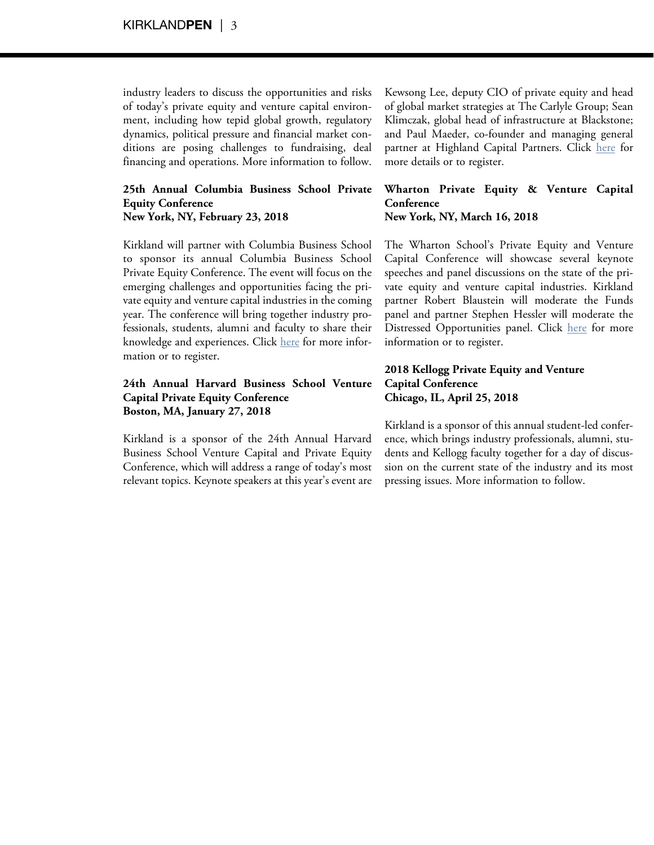industry leaders to discuss the opportunities and risks of today's private equity and venture capital environment, including how tepid global growth, regulatory dynamics, political pressure and financial market conditions are posing challenges to fundraising, deal financing and operations. More information to follow.

#### **25th Annual Columbia Business School Private Equity Conference New York, NY, February 23, 2018**

Kirkland will partner with Columbia Business School to sponsor its annual Columbia Business School Private Equity Conference. The event will focus on the emerging challenges and opportunities facing the private equity and venture capital industries in the coming year. The conference will bring together industry professionals, students, alumni and faculty to share their knowledge and experiences. Click [here](http://cbspe2018.com/) for more information or to register.

#### **24th Annual Harvard Business School Venture Capital Private Equity Conference Boston, MA, January 27, 2018**

Kirkland is a sponsor of the 24th Annual Harvard Business School Venture Capital and Private Equity Conference, which will address a range of today's most relevant topics. Keynote speakers at this year's event are Kewsong Lee, deputy CIO of private equity and head of global market strategies at The Carlyle Group; Sean Klimczak, global head of infrastructure at Blackstone; and Paul Maeder, co-founder and managing general partner at Highland Capital Partners. Click [here](http://www.thevcpeconference.com/) for more details or to register.

#### **Wharton Private Equity & Venture Capital Conference New York, NY, March 16, 2018**

The Wharton School's Private Equity and Venture Capital Conference will showcase several keynote speeches and panel discussions on the state of the private equity and venture capital industries. Kirkland partner Robert Blaustein will moderate the Funds panel and partner Stephen Hessler will moderate the Distressed Opportunities panel. Click [here](http://www.whartonpevcconference.org/) for more information or to register.

#### **2018 Kellogg Private Equity and Venture Capital Conference Chicago, IL, April 25, 2018**

Kirkland is a sponsor of this annual student-led conference, which brings industry professionals, alumni, students and Kellogg faculty together for a day of discussion on the current state of the industry and its most pressing issues. More information to follow.